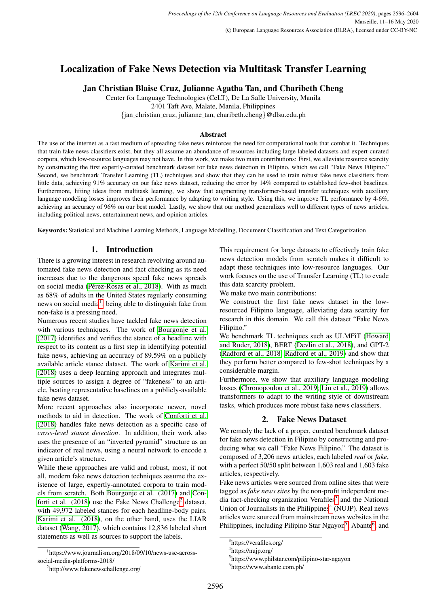# Localization of Fake News Detection via Multitask Transfer Learning

# Jan Christian Blaise Cruz, Julianne Agatha Tan, and Charibeth Cheng

Center for Language Technologies (CeLT), De La Salle University, Manila 2401 Taft Ave, Malate, Manila, Philippines

{jan christian cruz, julianne tan, charibeth.cheng}@dlsu.edu.ph

### Abstract

The use of the internet as a fast medium of spreading fake news reinforces the need for computational tools that combat it. Techniques that train fake news classifiers exist, but they all assume an abundance of resources including large labeled datasets and expert-curated corpora, which low-resource languages may not have. In this work, we make two main contributions: First, we alleviate resource scarcity by constructing the first expertly-curated benchmark dataset for fake news detection in Filipino, which we call "Fake News Filipino." Second, we benchmark Transfer Learning (TL) techniques and show that they can be used to train robust fake news classifiers from little data, achieving 91% accuracy on our fake news dataset, reducing the error by 14% compared to established few-shot baselines. Furthermore, lifting ideas from multitask learning, we show that augmenting transformer-based transfer techniques with auxiliary language modeling losses improves their performance by adapting to writing style. Using this, we improve TL performance by 4-6%, achieving an accuracy of 96% on our best model. Lastly, we show that our method generalizes well to different types of news articles, including political news, entertainment news, and opinion articles.

Keywords: Statistical and Machine Learning Methods, Language Modelling, Document Classification and Text Categorization

# 1. Introduction

There is a growing interest in research revolving around automated fake news detection and fact checking as its need increases due to the dangerous speed fake news spreads on social media (Pérez-Rosas et al., 2018). With as much as 68% of adults in the United States regularly consuming news on social media<sup>[1](#page-0-0)</sup>, being able to distinguish fake from non-fake is a pressing need.

Numerous recent studies have tackled fake news detection with various techniques. The work of [Bourgonje et al.](#page-7-0) [\(2017\)](#page-7-0) identifies and verifies the stance of a headline with respect to its content as a first step in identifying potential fake news, achieving an accuracy of 89.59% on a publicly available article stance dataset. The work of [Karimi et al.](#page-8-1) [\(2018\)](#page-8-1) uses a deep learning approach and integrates multiple sources to assign a degree of "fakeness" to an article, beating representative baselines on a publicly-available fake news dataset.

More recent approaches also incorporate newer, novel methods to aid in detection. The work of [Conforti et al.](#page-8-2) [\(2018\)](#page-8-2) handles fake news detection as a specific case of *cross-level stance detection*. In addition, their work also uses the presence of an "inverted pyramid" structure as an indicator of real news, using a neural network to encode a given article's structure.

While these approaches are valid and robust, most, if not all, modern fake news detection techniques assume the existence of large, expertly-annotated corpora to train models from scratch. Both [Bourgonje et al. \(2017\)](#page-7-0) and [Con](#page-8-2)forti et al.  $(2018)$  $(2018)$  $(2018)$  use the Fake News Challenge<sup>2</sup> dataset, with 49,972 labeled stances for each headline-body pairs. [Karimi et al. \(2018\)](#page-8-1), on the other hand, uses the LIAR dataset [\(Wang, 2017\)](#page-8-3), which contains 12,836 labeled short statements as well as sources to support the labels.

This requirement for large datasets to effectively train fake news detection models from scratch makes it difficult to adapt these techniques into low-resource languages. Our work focuses on the use of Transfer Learning (TL) to evade this data scarcity problem.

We make two main contributions:

We construct the first fake news dataset in the lowresourced Filipino language, alleviating data scarcity for research in this domain. We call this dataset "Fake News Filipino."

We benchmark TL techniques such as ULMFiT [\(Howard](#page-8-4) [and Ruder, 2018\)](#page-8-4), BERT [\(Devlin et al., 2018\)](#page-8-5), and GPT-2 [\(Radford et al., 2018;](#page-8-6) [Radford et al., 2019\)](#page-8-7) and show that they perform better compared to few-shot techniques by a considerable margin.

Furthermore, we show that auxiliary language modeling losses [\(Chronopoulou et al., 2019;](#page-8-8) [Liu et al., 2019\)](#page-8-9) allows transformers to adapt to the writing style of downstream tasks, which produces more robust fake news classifiers.

# 2. Fake News Dataset

We remedy the lack of a proper, curated benchmark dataset for fake news detection in Filipino by constructing and producing what we call "Fake News Filipino." The dataset is composed of 3,206 news articles, each labeled *real* or *fake*, with a perfect 50/50 split between 1,603 real and 1,603 fake articles, respectively.

Fake news articles were sourced from online sites that were tagged as *fake news sites* by the non-profit independent me-dia fact-checking organization Verafiles<sup>[3](#page-0-2)</sup> and the National Union of Journalists in the Philippines<sup>[4](#page-0-3)</sup> (NUJP). Real news articles were sourced from mainstream news websites in the Philippines, including Pilipino Star Ngayon<sup>[5](#page-0-4)</sup>, Abante<sup>[6](#page-0-5)</sup>, and

<span id="page-0-0"></span><sup>1</sup> https://www.journalism.org/2018/09/10/news-use-acrosssocial-media-platforms-2018/

<span id="page-0-1"></span><sup>2</sup> http://www.fakenewschallenge.org/

<span id="page-0-2"></span><sup>3</sup> https://verafiles.org/

<span id="page-0-3"></span><sup>4</sup> https://nujp.org/

<span id="page-0-4"></span><sup>5</sup> https://www.philstar.com/pilipino-star-ngayon

<span id="page-0-5"></span><sup>6</sup> https://www.abante.com.ph/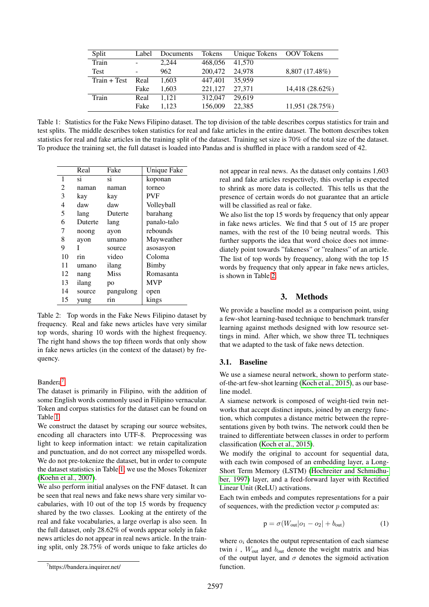| Split          | Label | Documents | Tokens  | Unique Tokens OOV Tokens |                 |
|----------------|-------|-----------|---------|--------------------------|-----------------|
| Train          | ۰     | 2.244     | 468,056 | 41,570                   |                 |
| Test           | ۰     | 962       | 200,472 | 24,978                   | 8,807 (17.48%)  |
| $Train + Test$ | Real  | 1.603     | 447.401 | 35,959                   |                 |
|                | Fake  | 1.603     | 221,127 | 27,371                   | 14,418 (28.62%) |
| Train          | Real  | 1.121     | 312,047 | 29.619                   |                 |
|                | Fake  | 1.123     | 156,009 | 22,385                   | 11,951 (28.75%) |
|                |       |           |         |                          |                 |

<span id="page-1-1"></span>Table 1: Statistics for the Fake News Filipino dataset. The top division of the table describes corpus statistics for train and test splits. The middle describes token statistics for real and fake articles in the entire dataset. The bottom describes token statistics for real and fake articles in the training split of the dataset. Training set size is 70% of the total size of the dataset. To produce the training set, the full dataset is loaded into Pandas and is shuffled in place with a random seed of 42.

|    | Real    | Fake        | <b>Unique Fake</b> |
|----|---------|-------------|--------------------|
| 1  | si      | si          | koponan            |
| 2  | naman   | naman       | torneo             |
| 3  | kay     | kay         | <b>PVF</b>         |
| 4  | daw     | daw         | Volleyball         |
| 5  | lang    | Duterte     | barahang           |
| 6  | Duterte | lang        | panalo-talo        |
| 7  | noong   | ayon        | rebounds           |
| 8  | ayon    | umano       | Mayweather         |
| 9  | I       | source      | asosasyon          |
| 10 | rin     | video       | Coloma             |
| 11 | umano   | ilang       | Bimby              |
| 12 | nang    | <b>Miss</b> | Romasanta          |
| 13 | ilang   | po          | <b>MVP</b>         |
| 14 | source  | pangulong   | open               |
| 15 | yung    | rin         | kings              |

<span id="page-1-2"></span>Table 2: Top words in the Fake News Filipino dataset by frequency. Real and fake news articles have very similar top words, sharing 10 words with the highest frequency. The right hand shows the top fifteen words that only show in fake news articles (in the context of the dataset) by frequency.

Bandera<sup>[7](#page-1-0)</sup>.

The dataset is primarily in Filipino, with the addition of some English words commonly used in Filipino vernacular. Token and corpus statistics for the dataset can be found on Table [1.](#page-1-1)

We construct the dataset by scraping our source websites, encoding all characters into UTF-8. Preprocessing was light to keep information intact: we retain capitalization and punctuation, and do not correct any misspelled words. We do not pre-tokenize the dataset, but in order to compute the dataset statistics in Table [1,](#page-1-1) we use the Moses Tokenizer [\(Koehn et al., 2007\)](#page-8-10).

We also perform initial analyses on the FNF dataset. It can be seen that real news and fake news share very similar vocabularies, with 10 out of the top 15 words by frequency shared by the two classes. Looking at the entirety of the real and fake vocabularies, a large overlap is also seen. In the full dataset, only 28.62% of words appear solely in fake news articles do not appear in real news article. In the training split, only 28.75% of words unique to fake articles do

not appear in real news. As the dataset only contains 1,603 real and fake articles respectively, this overlap is expected to shrink as more data is collected. This tells us that the presence of certain words do not guarantee that an article will be classified as real or fake.

We also list the top 15 words by frequency that only appear in fake news articles. We find that 5 out of 15 are proper names, with the rest of the 10 being neutral words. This further supports the idea that word choice does not immediately point towards "fakeness" or "realness" of an article. The list of top words by frequency, along with the top 15 words by frequency that only appear in fake news articles, is shown in Table [2.](#page-1-2)

# 3. Methods

We provide a baseline model as a comparison point, using a few-shot learning-based technique to benchmark transfer learning against methods designed with low resource settings in mind. After which, we show three TL techniques that we adapted to the task of fake news detection.

# 3.1. Baseline

We use a siamese neural network, shown to perform stateof-the-art few-shot learning [\(Koch et al., 2015\)](#page-8-11), as our baseline model.

A siamese network is composed of weight-tied twin networks that accept distinct inputs, joined by an energy function, which computes a distance metric between the representations given by both twins. The network could then be trained to differentiate between classes in order to perform classification [\(Koch et al., 2015\)](#page-8-11).

We modify the original to account for sequential data, with each twin composed of an embedding layer, a Long-Short Term Memory (LSTM) [\(Hochreiter and Schmidhu](#page-8-12)[ber, 1997\)](#page-8-12) layer, and a feed-forward layer with Rectified Linear Unit (ReLU) activations.

Each twin embeds and computes representations for a pair of sequences, with the prediction vector  $p$  computed as:

$$
p = \sigma(W_{out}|o_1 - o_2| + b_{out})
$$
 (1)

where  $o_i$  denotes the output representation of each siamese twin i,  $W_{\text{out}}$  and  $b_{\text{out}}$  denote the weight matrix and bias of the output layer, and  $\sigma$  denotes the sigmoid activation function.

<span id="page-1-0"></span><sup>7</sup> https://bandera.inquirer.net/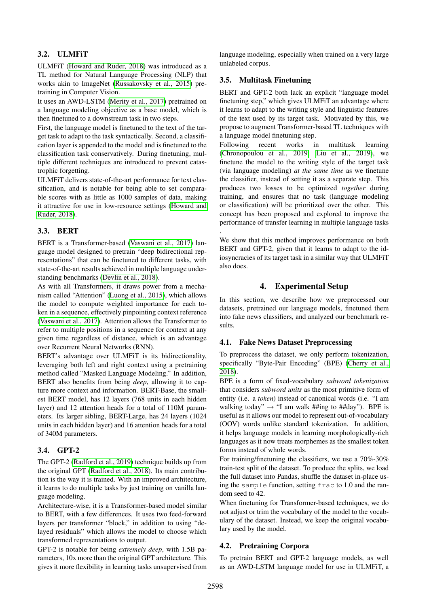# 3.2. ULMFiT

ULMFiT [\(Howard and Ruder, 2018\)](#page-8-4) was introduced as a TL method for Natural Language Processing (NLP) that works akin to ImageNet [\(Russakovsky et al., 2015\)](#page-8-13) pretraining in Computer Vision.

It uses an AWD-LSTM [\(Merity et al., 2017\)](#page-8-14) pretrained on a language modeling objective as a base model, which is then finetuned to a downstream task in two steps.

First, the language model is finetuned to the text of the target task to adapt to the task syntactically. Second, a classification layer is appended to the model and is finetuned to the classification task conservatively. During finetuning, multiple different techniques are introduced to prevent catastrophic forgetting.

ULMFiT delivers state-of-the-art performance for text classification, and is notable for being able to set comparable scores with as little as 1000 samples of data, making it attractive for use in low-resource settings [\(Howard and](#page-8-4) [Ruder, 2018\)](#page-8-4).

# 3.3. BERT

BERT is a Transformer-based [\(Vaswani et al., 2017\)](#page-8-15) language model designed to pretrain "deep bidirectional representations" that can be finetuned to different tasks, with state-of-the-art results achieved in multiple language understanding benchmarks [\(Devlin et al., 2018\)](#page-8-5).

As with all Transformers, it draws power from a mechanism called "Attention" [\(Luong et al., 2015\)](#page-8-16), which allows the model to compute weighted importance for each token in a sequence, effectively pinpointing context reference [\(Vaswani et al., 2017\)](#page-8-15). Attention allows the Transformer to refer to multiple positions in a sequence for context at any given time regardless of distance, which is an advantage over Recurrent Neural Networks (RNN).

BERT's advantage over ULMFiT is its bidirectionality, leveraging both left and right context using a pretraining method called "Masked Language Modeling." In addition, BERT also benefits from being *deep*, allowing it to capture more context and information. BERT-Base, the smallest BERT model, has 12 layers (768 units in each hidden layer) and 12 attention heads for a total of 110M parameters. Its larger sibling, BERT-Large, has 24 layers (1024 units in each hidden layer) and 16 attention heads for a total of 340M parameters.

# 3.4. GPT-2

The GPT-2 [\(Radford et al., 2019\)](#page-8-7) technique builds up from the original GPT [\(Radford et al., 2018\)](#page-8-6). Its main contribution is the way it is trained. With an improved architecture, it learns to do multiple tasks by just training on vanilla language modeling.

Architecture-wise, it is a Transformer-based model similar to BERT, with a few differences. It uses two feed-forward layers per transformer "block," in addition to using "delayed residuals" which allows the model to choose which transformed representations to output.

GPT-2 is notable for being *extremely deep*, with 1.5B parameters, 10x more than the original GPT architecture. This gives it more flexibility in learning tasks unsupervised from language modeling, especially when trained on a very large unlabeled corpus.

# 3.5. Multitask Finetuning

.

BERT and GPT-2 both lack an explicit "language model finetuning step," which gives ULMFiT an advantage where it learns to adapt to the writing style and linguistic features of the text used by its target task. Motivated by this, we propose to augment Transformer-based TL techniques with a language model finetuning step.

Following recent works in multitask learning [\(Chronopoulou et al., 2019;](#page-8-8) [Liu et al., 2019\)](#page-8-9), we finetune the model to the writing style of the target task (via language modeling) *at the same time* as we finetune the classifier, instead of setting it as a separate step. This produces two losses to be optimized *together* during training, and ensures that no task (language modeling or classification) will be prioritized over the other. This concept has been proposed and explored to improve the performance of transfer learning in multiple language tasks

We show that this method improves performance on both BERT and GPT-2, given that it learns to adapt to the idiosyncracies of its target task in a similar way that ULMFiT also does.

# 4. Experimental Setup

In this section, we describe how we preprocessed our datasets, pretrained our language models, finetuned them into fake news classifiers, and analyzed our benchmark results.

# 4.1. Fake News Dataset Preprocessing

To preprocess the dataset, we only perform tokenization, specifically "Byte-Pair Encoding" (BPE) [\(Cherry et al.,](#page-8-17) [2018\)](#page-8-17).

BPE is a form of fixed-vocabulary *subword tokenization* that considers *subword units* as the most primitive form of entity (i.e. a *token*) instead of canonical words (i.e. "I am walking today"  $\rightarrow$  "I am walk ##ing to ##day"). BPE is useful as it allows our model to represent out-of-vocabulary (OOV) words unlike standard tokenization. In addition, it helps language models in learning morphologically-rich languages as it now treats morphemes as the smallest token forms instead of whole words.

For training/finetuning the classifiers, we use a 70%-30% train-test split of the dataset. To produce the splits, we load the full dataset into Pandas, shuffle the dataset in-place using the sample function, setting frac to 1.0 and the random seed to 42.

When finetuning for Transformer-based techniques, we do not adjust or trim the vocabulary of the model to the vocabulary of the dataset. Instead, we keep the original vocabulary used by the model.

# 4.2. Pretraining Corpora

To pretrain BERT and GPT-2 language models, as well as an AWD-LSTM language model for use in ULMFiT, a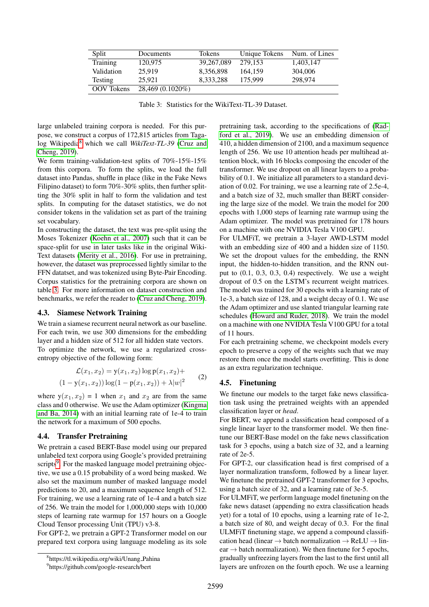| Split             | Documents        | <b>Tokens</b> | Unique Tokens | Num. of Lines |
|-------------------|------------------|---------------|---------------|---------------|
| Training          | 120.975          | 39,267,089    | 279.153       | 1,403,147     |
| Validation        | 25,919           | 8,356,898     | 164.159       | 304,006       |
| <b>Testing</b>    | 25.921           | 8.333.288     | 175,999       | 298,974       |
| <b>OOV</b> Tokens | 28,469 (0.1020%) |               |               |               |

<span id="page-3-1"></span>Table 3: Statistics for the WikiText-TL-39 Dataset.

large unlabeled training corpora is needed. For this purpose, we construct a corpus of 172,815 articles from Tagalog Wikipedia[8](#page-3-0) which we call *WikiText-TL-39* [\(Cruz and](#page-8-18) [Cheng, 2019\)](#page-8-18).

We form training-validation-test splits of 70%-15%-15% from this corpora. To form the splits, we load the full dataset into Pandas, shuffle in place (like in the Fake News Filipino dataset) to form 70%-30% splits, then further splitting the 30% split in half to form the validation and test splits. In computing for the dataset statistics, we do not consider tokens in the validation set as part of the training set vocabulary.

In constructing the dataset, the text was pre-split using the Moses Tokenizer [\(Koehn et al., 2007\)](#page-8-10) such that it can be space-split for use in later tasks like in the original Wiki-Text datasets [\(Merity et al., 2016\)](#page-8-19). For use in pretraining, however, the dataset was preprocessed lightly similar to the FFN datatset, and was tokenized using Byte-Pair Encoding. Corpus statistics for the pretraining corpora are shown on table [3.](#page-3-1) For more information on dataset construction and benchmarks, we refer the reader to [\(Cruz and Cheng, 2019\)](#page-8-18).

#### 4.3. Siamese Network Training

We train a siamese recurrent neural network as our baseline. For each twin, we use 300 dimensions for the embedding layer and a hidden size of 512 for all hidden state vectors. To optimize the network, we use a regularized crossentropy objective of the following form:

$$
\mathcal{L}(x_1, x_2) = \mathbf{y}(x_1, x_2) \log \mathbf{p}(x_1, x_2) +
$$
  
(1 - y(x\_1, x\_2)) \log(1 - \mathbf{p}(x\_1, x\_2)) + \lambda |w|^2 (2)

where  $y(x_1, x_2) = 1$  when  $x_1$  and  $x_2$  are from the same class and 0 otherwise. We use the Adam optimizer [\(Kingma](#page-8-20) [and Ba, 2014\)](#page-8-20) with an initial learning rate of 1e-4 to train the network for a maximum of 500 epochs.

#### 4.4. Transfer Pretraining

We pretrain a cased BERT-Base model using our prepared unlabeled text corpora using Google's provided pretraining scripts<sup>[9](#page-3-2)</sup>. For the masked language model pretraining objective, we use a 0.15 probability of a word being masked. We also set the maximum number of masked language model predictions to 20, and a maximum sequence length of 512. For training, we use a learning rate of 1e-4 and a batch size of 256. We train the model for 1,000,000 steps with 10,000 steps of learning rate warmup for 157 hours on a Google Cloud Tensor processing Unit (TPU) v3-8.

For GPT-2, we pretrain a GPT-2 Transformer model on our prepared text corpora using language modeling as its sole

pretraining task, according to the specifications of [\(Rad](#page-8-7)[ford et al., 2019\)](#page-8-7). We use an embedding dimension of 410, a hidden dimension of 2100, and a maximum sequence length of 256. We use 10 attention heads per multihead attention block, with 16 blocks composing the encoder of the transformer. We use dropout on all linear layers to a probability of 0.1. We initialize all parameters to a standard deviation of 0.02. For training, we use a learning rate of 2.5e-4, and a batch size of 32, much smaller than BERT considering the large size of the model. We train the model for 200 epochs with 1,000 steps of learning rate warmup using the Adam optimizer. The model was pretrained for 178 hours on a machine with one NVIDIA Tesla V100 GPU.

For ULMFiT, we pretrain a 3-layer AWD-LSTM model with an embedding size of 400 and a hidden size of 1150. We set the dropout values for the embedding, the RNN input, the hidden-to-hidden transition, and the RNN output to (0.1, 0.3, 0.3, 0.4) respectively. We use a weight dropout of 0.5 on the LSTM's recurrent weight matrices. The model was trained for 30 epochs with a learning rate of 1e-3, a batch size of 128, and a weight decay of 0.1. We use the Adam optimizer and use slanted triangular learning rate schedules [\(Howard and Ruder, 2018\)](#page-8-4). We train the model on a machine with one NVIDIA Tesla V100 GPU for a total of 11 hours.

For each pretraining scheme, we checkpoint models every epoch to preserve a copy of the weights such that we may restore them once the model starts overfitting. This is done as an extra regularization technique.

#### 4.5. Finetuning

We finetune our models to the target fake news classification task using the pretrained weights with an appended classification layer or *head*.

For BERT, we append a classification head composed of a single linear layer to the transformer model. We then finetune our BERT-Base model on the fake news classification task for 3 epochs, using a batch size of 32, and a learning rate of 2e-5.

For GPT-2, our classification head is first comprised of a layer normalization transform, followed by a linear layer. We finetune the pretrained GPT-2 transformer for 3 epochs, using a batch size of 32, and a learning rate of 3e-5.

For ULMFiT, we perform language model finetuning on the fake news dataset (appending no extra classification heads yet) for a total of 10 epochs, using a learning rate of 1e-2, a batch size of 80, and weight decay of 0.3. For the final ULMFiT finetuning stage, we append a compound classification head (linear  $\rightarrow$  batch normalization  $\rightarrow$  ReLU  $\rightarrow$  lin $ear \rightarrow batch$  normalization). We then finetune for 5 epochs, gradually unfreezing layers from the last to the first until all layers are unfrozen on the fourth epoch. We use a learning

<span id="page-3-0"></span><sup>8</sup> https://tl.wikipedia.org/wiki/Unang Pahina

<span id="page-3-2"></span><sup>9</sup> https://github.com/google-research/bert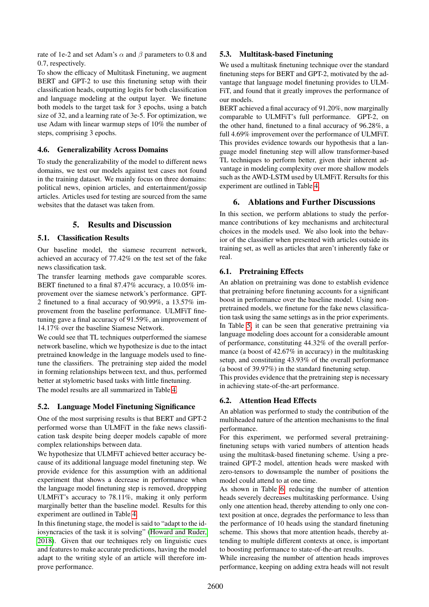rate of 1e-2 and set Adam's  $\alpha$  and  $\beta$  parameters to 0.8 and 0.7, respectively.

To show the efficacy of Multitask Finetuning, we augment BERT and GPT-2 to use this finetuning setup with their classification heads, outputting logits for both classification and language modeling at the output layer. We finetune both models to the target task for 3 epochs, using a batch size of 32, and a learning rate of 3e-5. For optimization, we use Adam with linear warmup steps of 10% the number of steps, comprising 3 epochs.

### 4.6. Generalizability Across Domains

To study the generalizability of the model to different news domains, we test our models against test cases not found in the training dataset. We mainly focus on three domains: political news, opinion articles, and entertainment/gossip articles. Articles used for testing are sourced from the same websites that the dataset was taken from.

### 5. Results and Discussion

#### 5.1. Classification Results

Our baseline model, the siamese recurrent network, achieved an accuracy of 77.42% on the test set of the fake news classification task.

The transfer learning methods gave comparable scores. BERT finetuned to a final 87.47% accuracy, a 10.05% improvement over the siamese network's performance. GPT-2 finetuned to a final accuracy of 90.99%, a 13.57% improvement from the baseline performance. ULMFiT finetuning gave a final accuracy of 91.59%, an improvement of 14.17% over the baseline Siamese Network.

We could see that TL techniques outperformed the siamese network baseline, which we hypothesize is due to the intact pretrained knowledge in the language models used to finetune the classifiers. The pretraining step aided the model in forming relationships between text, and thus, performed better at stylometric based tasks with little finetuning.

The model results are all summarized in Table [4.](#page-5-0)

### 5.2. Language Model Finetuning Significance

One of the most surprising results is that BERT and GPT-2 performed worse than ULMFiT in the fake news classification task despite being deeper models capable of more complex relationships between data.

We hypothesize that ULMFiT achieved better accuracy because of its additional language model finetuning step. We provide evidence for this assumption with an additional experiment that shows a decrease in performance when the language model finetuning step is removed, droppping ULMFiT's accuracy to 78.11%, making it only perform marginally better than the baseline model. Results for this experiment are outlined in Table [4.](#page-5-0)

In this finetuning stage, the model is said to "adapt to the idiosyncracies of the task it is solving" [\(Howard and Ruder,](#page-8-4) [2018\)](#page-8-4). Given that our techniques rely on linguistic cues and features to make accurate predictions, having the model adapt to the writing style of an article will therefore improve performance.

# 5.3. Multitask-based Finetuning

We used a multitask finetuning technique over the standard finetuning steps for BERT and GPT-2, motivated by the advantage that language model finetuning provides to ULM-FiT, and found that it greatly improves the performance of our models.

BERT achieved a final accuracy of 91.20%, now marginally comparable to ULMFiT's full performance. GPT-2, on the other hand, finetuned to a final accuracy of 96.28%, a full 4.69% improvement over the performance of ULMFiT. This provides evidence towards our hypothesis that a language model finetuning step will allow transformer-based TL techniques to perform better, given their inherent advantage in modeling complexity over more shallow models such as the AWD-LSTM used by ULMFiT. Rersults for this experiment are outlined in Table [4.](#page-5-0)

# 6. Ablations and Further Discussions

In this section, we perform ablations to study the performance contributions of key mechanisms and architectural choices in the models used. We also look into the behavior of the classifier when presented with articles outside its training set, as well as articles that aren't inherently fake or real.

### 6.1. Pretraining Effects

An ablation on pretraining was done to establish evidence that pretraining before finetuning accounts for a significant boost in performance over the baseline model. Using nonpretrained models, we finetune for the fake news classification task using the same settings as in the prior experiments. In Table [5,](#page-5-1) it can be seen that generative pretraining via language modeling does account for a considerable amount of performance, constituting 44.32% of the overall performance (a boost of 42.67% in accuracy) in the multitasking setup, and constituting 43.93% of the overall performance (a boost of 39.97%) in the standard finetuning setup.

This provides evidence that the pretraining step is necessary in achieving state-of-the-art performance.

# 6.2. Attention Head Effects

An ablation was performed to study the contribution of the multiheaded nature of the attention mechanisms to the final performance.

For this experiment, we performed several pretrainingfinetuning setups with varied numbers of attention heads using the multitask-based finetuning scheme. Using a pretrained GPT-2 model, attention heads were masked with zero-tensors to downsample the number of positions the model could attend to at one time.

As shown in Table [6,](#page-5-2) reducing the number of attention heads severely decreases multitasking performance. Using only one attention head, thereby attending to only one context position at once, degrades the performance to less than the performance of 10 heads using the standard finetuning scheme. This shows that more attention heads, thereby attending to multiple different contexts at once, is important to boosting performance to state-of-the-art results.

While increasing the number of attention heads improves performance, keeping on adding extra heads will not result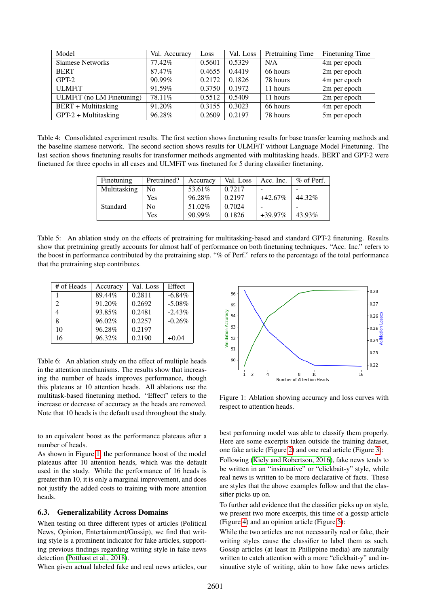| Model                      | Val. Accuracy | Loss   | Val. Loss | Pretraining Time | <b>Finetuning Time</b> |
|----------------------------|---------------|--------|-----------|------------------|------------------------|
| <b>Siamese Networks</b>    | 77.42%        | 0.5601 | 0.5329    | N/A              | 4m per epoch           |
| <b>BERT</b>                | 87.47%        | 0.4655 | 0.4419    | 66 hours         | 2m per epoch           |
| $GPT-2$                    | $90.99\%$     | 0.2172 | 0.1826    | 78 hours         | 4m per epoch           |
| <b>ULMFiT</b>              | 91.59%        | 0.3750 | 0.1972    | 11 hours         | 2m per epoch           |
| ULMFiT (no LM Finetuning)  | 78.11%        | 0.5512 | 0.5409    | 11 hours         | 2m per epoch           |
| <b>BERT</b> + Multitasking | 91.20%        | 0.3155 | 0.3023    | 66 hours         | 4m per epoch           |
| $GPT-2 + Multitasking$     | 96.28%        | 0.2609 | 0.2197    | 78 hours         | 5m per epoch           |

<span id="page-5-0"></span>Table 4: Consolidated experiment results. The first section shows finetuning results for base transfer learning methods and the baseline siamese network. The second section shows results for ULMFiT without Language Model Finetuning. The last section shows finetuning results for transformer methods augmented with multitasking heads. BERT and GPT-2 were finetuned for three epochs in all cases and ULMFiT was finetuned for 5 during classifier finetuning.

| Finetuning   | Pretrained? | Accuracy | Val. Loss | Acc. Inc.  | $\%$ of Perf. |
|--------------|-------------|----------|-----------|------------|---------------|
| Multitasking | No          | 53.61%   | 0.7217    |            |               |
|              | Yes         | 96.28%   | 0.2197    | $+42.67\%$ | 44.32%        |
| Standard     | No          | 51.02%   | 0.7024    |            |               |
|              | Yes         | 90.99%   | 0.1826    | $+39.97\%$ | 43.93%        |

<span id="page-5-1"></span>Table 5: An ablation study on the effects of pretraining for multitasking-based and standard GPT-2 finetuning. Results show that pretraining greatly accounts for almost half of performance on both finetuning techniques. "Acc. Inc." refers to the boost in performance contributed by the pretraining step. "% of Perf." refers to the percentage of the total performance that the pretraining step contributes.

| # of Heads     | Accuracy | Val. Loss | Effect    |
|----------------|----------|-----------|-----------|
| 1              | 89.44%   | 0.2811    | $-6.84\%$ |
| $\mathfrak{D}$ | 91.20%   | 0.2692    | $-5.08%$  |
|                | 93.85%   | 0.2481    | $-2.43%$  |
| 8              | 96.02%   | 0.2257    | $-0.26%$  |
| 10             | 96.28%   | 0.2197    |           |
| 16             | 96.32%   | 0.2190    | $+0.04$   |

<span id="page-5-2"></span>Table 6: An ablation study on the effect of multiple heads in the attention mechanisms. The results show that increasing the number of heads improves performance, though this plateaus at 10 attention heads. All ablations use the multitask-based finetuning method. "Effect" refers to the increase or decrease of accuracy as the heads are removed. Note that 10 heads is the default used throughout the study.

to an equivalent boost as the performance plateaus after a number of heads.

As shown in Figure [1,](#page-5-3) the performance boost of the model plateaus after 10 attention heads, which was the default used in the study. While the performance of 16 heads is greater than 10, it is only a marginal improvement, and does not justify the added costs to training with more attention heads.

#### 6.3. Generalizability Across Domains

When testing on three different types of articles (Political News, Opinion, Entertainment/Gossip), we find that writing style is a prominent indicator for fake articles, supporting previous findings regarding writing style in fake news detection [\(Potthast et al., 2018\)](#page-8-21).

When given actual labeled fake and real news articles, our



<span id="page-5-3"></span>Figure 1: Ablation showing accuracy and loss curves with respect to attention heads.

best performing model was able to classify them properly. Here are some excerpts taken outside the training dataset, one fake article (Figure [2\)](#page-6-0) and one real article (Figure [3\)](#page-6-1):

Following [\(Kiely and Robertson, 2016\)](#page-8-22), fake news tends to be written in an "insinuative" or "clickbait-y" style, while real news is written to be more declarative of facts. These are styles that the above examples follow and that the classifier picks up on.

To further add evidence that the classifier picks up on style, we present two more excerpts, this time of a gossip article (Figure [4\)](#page-7-1) and an opinion article (Figure [5\)](#page-7-2):

While the two articles are not necessarily real or fake, their writing styles cause the classifier to label them as such. Gossip articles (at least in Philippine media) are naturally written to catch attention with a more "clickbait-y" and insinuative style of writing, akin to how fake news articles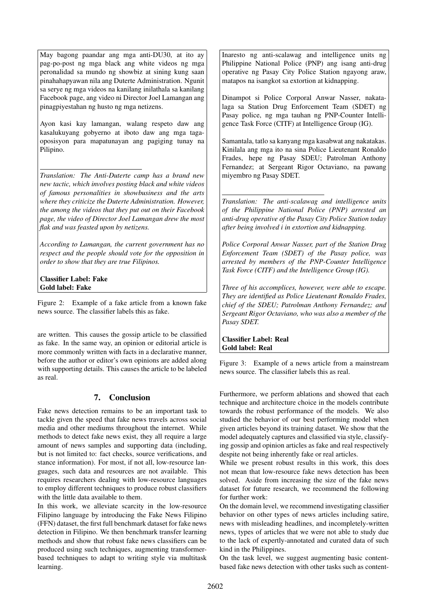May bagong paandar ang mga anti-DU30, at ito ay pag-po-post ng mga black ang white videos ng mga peronalidad sa mundo ng showbiz at sining kung saan pinahahapyawan nila ang Duterte Administration. Ngunit sa serye ng mga videos na kanilang inilathala sa kanilang Facebook page, ang video ni Director Joel Lamangan ang pinagpiyestahan ng husto ng mga netizens.

Ayon kasi kay lamangan, walang respeto daw ang kasalukuyang gobyerno at iboto daw ang mga tagaoposisyon para mapatunayan ang pagiging tunay na Pilipino.

*Translation: The Anti-Duterte camp has a brand new new tactic, which involves posting black and white videos of famous personalities in showbusiness and the arts where they criticize the Duterte Administration. However, the among the videos that they put out on their Facebook page, the video of Director Joel Lamangan drew the most flak and was feasted upon by netizens.*

*According to Lamangan, the current government has no respect and the people should vote for the opposition in order to show that they are true Filipinos.*

Classifier Label: Fake Gold label: Fake

<span id="page-6-0"></span>Figure 2: Example of a fake article from a known fake news source. The classifier labels this as fake.

are written. This causes the gossip article to be classified as fake. In the same way, an opinion or editorial article is more commonly written with facts in a declarative manner, before the author or editor's own opinions are added along with supporting details. This causes the article to be labeled as real.

# 7. Conclusion

Fake news detection remains to be an important task to tackle given the speed that fake news travels across social media and other mediums throughout the internet. While methods to detect fake news exist, they all require a large amount of news samples and supporting data (including, but is not limited to: fact checks, source verifications, and stance information). For most, if not all, low-resource languages, such data and resources are not available. This requires researchers dealing with low-resource languages to employ different techniques to produce robust classifiers with the little data available to them.

In this work, we alleviate scarcity in the low-resource Filipino language by introducing the Fake News Filipino (FFN) dataset, the first full benchmark dataset for fake news detection in Filipino. We then benchmark transfer learning methods and show that robust fake news classifiers can be produced using such techniques, augmenting transformerbased techniques to adapt to writing style via multitask learning.

Inaresto ng anti-scalawag and intelligence units ng Philippine National Police (PNP) ang isang anti-drug operative ng Pasay City Police Station ngayong araw, matapos na isangkot sa extortion at kidnapping.

Dinampot si Police Corporal Anwar Nasser, nakatalaga sa Station Drug Enforcement Team (SDET) ng Pasay police, ng mga tauhan ng PNP-Counter Intelligence Task Force (CITF) at Intelligence Group (IG).

Samantala, tatlo sa kanyang mga kasabwat ang nakatakas. Kinilala ang mga ito na sina Police Lieutenant Ronaldo Frades, hepe ng Pasay SDEU; Patrolman Anthony Fernandez; at Sergeant Rigor Octaviano, na pawang miyembro ng Pasay SDET.

*Translation: The anti-scalawag and intelligence units of the Philippine National Police (PNP) arrested an anti-drug operative of the Pasay City Police Station today after being involved i in extortion and kidnapping.*

*Police Corporal Anwar Nasser, part of the Station Drug Enforcement Team (SDET) of the Pasay police, was arrested by members of the PNP-Counter Intelligence Task Force (CITF) and the Intelligence Group (IG).*

*Three of his accomplices, however, were able to escape. They are identified as Police Lieutenant Ronaldo Frades, chief of the SDEU; Patrolman Anthony Fernandez; and Sergeant Rigor Octaviano, who was also a member of the Pasay SDET.*

Classifier Label: Real Gold label: Real

<span id="page-6-1"></span>Figure 3: Example of a news article from a mainstream news source. The classifier labels this as real.

Furthermore, we perform ablations and showed that each technique and architecture choice in the models contribute towards the robust performance of the models. We also studied the behavior of our best performing model when given articles beyond its training dataset. We show that the model adequately captures and classified via style, classifying gossip and opinion articles as fake and real respectively despite not being inherently fake or real articles.

While we present robust results in this work, this does not mean that low-resource fake news detection has been solved. Aside from increasing the size of the fake news dataset for future research, we recommend the following for further work:

On the domain level, we recommend investigating classifier behavior on other types of news articles including satire, news with misleading headlines, and incompletely-written news, types of articles that we were not able to study due to the lack of expertly-annotated and curated data of such kind in the Philippines.

On the task level, we suggest augmenting basic contentbased fake news detection with other tasks such as content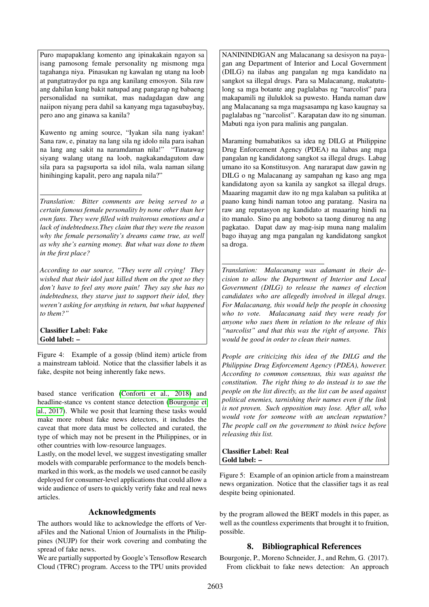Puro mapapaklang komento ang ipinakakain ngayon sa isang pamosong female personality ng mismong mga tagahanga niya. Pinasukan ng kawalan ng utang na loob at pangtatraydor pa nga ang kanilang emosyon. Sila raw ang dahilan kung bakit natupad ang pangarap ng babaeng personalidad na sumikat, mas nadagdagan daw ang naiipon niyang pera dahil sa kanyang mga tagasubaybay, pero ano ang ginawa sa kanila?

Kuwento ng aming source, "Iyakan sila nang iyakan! Sana raw, e, pinatay na lang sila ng idolo nila para isahan na lang ang sakit na naramdaman nila!" "Tinatawag siyang walang utang na loob, nagkakandagutom daw sila para sa pagsuporta sa idol nila, wala naman silang hinihinging kapalit, pero ang napala nila?"

*Translation: Bitter comments are being served to a certain famous female personality by none other than her own fans. They were filled with traitorous emotions and a lack of indebtedness.They claim that they were the reason why the female personality's dreams came true, as well as why she's earning money. But what was done to them in the first place?*

*According to our source, "They were all crying! They wished that their idol just killed them on the spot so they don't have to feel any more pain! They say she has no indebtedness, they starve just to support their idol, they weren't asking for anything in return, but what happened to them?"*

Classifier Label: Fake Gold label: –

<span id="page-7-1"></span>Figure 4: Example of a gossip (blind item) article from a mainstream tabloid. Notice that the classifier labels it as fake, despite not being inherently fake news.

based stance verification [\(Conforti et al., 2018\)](#page-8-2) and headline-stance vs content stance detection [\(Bourgonje et](#page-7-0) [al., 2017\)](#page-7-0). While we posit that learning these tasks would make more robust fake news detectors, it includes the caveat that more data must be collected and curated, the type of which may not be present in the Philippines, or in other countries with low-resource languages.

Lastly, on the model level, we suggest investigating smaller models with comparable performance to the models benchmarked in this work, as the models we used cannot be easily deployed for consumer-level applications that could allow a wide audience of users to quickly verify fake and real news articles.

# Acknowledgments

The authors would like to acknowledge the efforts of VeraFiles and the National Union of Journalists in the Philippines (NUJP) for their work covering and combating the spread of fake news.

We are partially supported by Google's Tensoflow Research Cloud (TFRC) program. Access to the TPU units provided NANININDIGAN ang Malacanang sa desisyon na payagan ang Department of Interior and Local Government (DILG) na ilabas ang pangalan ng mga kandidato na sangkot sa illegal drugs. Para sa Malacanang, makatutulong sa mga botante ang paglalabas ng "narcolist" para makapamili ng iluluklok sa puwesto. Handa naman daw ang Malacanang sa mga magsasampa ng kaso kaugnay sa paglalabas ng "narcolist". Karapatan daw ito ng sinuman. Mabuti nga iyon para malinis ang pangalan.

Maraming bumabatikos sa idea ng DILG at Philippine Drug Enforcement Agency (PDEA) na ilabas ang mga pangalan ng kandidatong sangkot sa illegal drugs. Labag umano ito sa Konstitusyon. Ang nararapat daw gawin ng DILG o ng Malacanang ay sampahan ng kaso ang mga kandidatong ayon sa kanila ay sangkot sa illegal drugs. Maaaring magamit daw ito ng mga kalaban sa pulitika at paano kung hindi naman totoo ang paratang. Nasira na raw ang reputasyon ng kandidato at maaaring hindi na ito manalo. Sino pa ang boboto sa taong dinurog na ang pagkatao. Dapat daw ay mag-isip muna nang malalim bago ihayag ang mga pangalan ng kandidatong sangkot sa droga.

*Translation: Malacanang was adamant in their decision to allow the Department of Interior and Local Government (DILG) to release the names of election candidates who are allegedly involved in illegal drugs. For Malacanang, this would help the people in choosing who to vote. Malacanang said they were ready for anyone who sues them in relation to the release of this "narcolist" and that this was the right of anyone. This would be good in order to clean their names.*

*People are criticizing this idea of the DILG and the Philippine Drug Enforcement Agency (PDEA), however. According to common consensus, this was against the constitution. The right thing to do instead is to sue the people on the list directly, as the list can be used against political enemies, tarnishing their names even if the link is not proven. Such opposition may lose. After all, who would vote for someone with an unclean reputation? The people call on the government to think twice before releasing this list.*

Classifier Label: Real Gold label: –

<span id="page-7-2"></span>Figure 5: Example of an opinion article from a mainstream news organization. Notice that the classifier tags it as real despite being opinionated.

by the program allowed the BERT models in this paper, as well as the countless experiments that brought it to fruition, possible.

# 8. Bibliographical References

<span id="page-7-0"></span>Bourgonje, P., Moreno Schneider, J., and Rehm, G. (2017). From clickbait to fake news detection: An approach